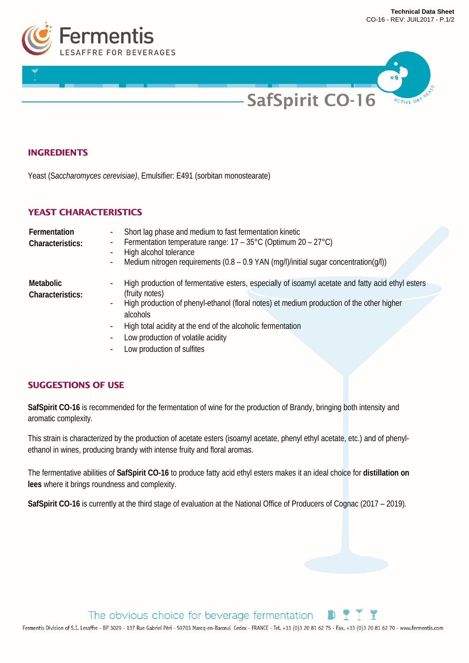

# SafSpirit CO-16

### **INGREDIENTS**

Yeast (S*accharomyces cerevisiae)*, Emulsifier: E491 (sorbitan monostearate)

# **YEAST CHARACTERISTICS**

| Fermentation<br>Characteristics: | Short lag phase and medium to fast fermentation kinetic<br>$\overline{\phantom{a}}$<br>Fermentation temperature range: $17 - 35^{\circ}$ C (Optimum 20 – 27°C)<br>-<br>High alcohol tolerance<br>Medium nitrogen requirements $(0.8 - 0.9$ YAN $(mq/l)/initial$ sugar concentration(q/l))                                                                                                                                    |
|----------------------------------|------------------------------------------------------------------------------------------------------------------------------------------------------------------------------------------------------------------------------------------------------------------------------------------------------------------------------------------------------------------------------------------------------------------------------|
| Metabolic<br>Characteristics:    | High production of fermentative esters, especially of isoamyl acetate and fatty acid ethyl esters<br>-<br>(fruity notes)<br>High production of phenyl-ethanol (floral notes) et medium production of the other higher<br>-<br>alcohols<br>High total acidity at the end of the alcoholic fermentation<br>-<br>Low production of volatile acidity<br>$\overline{\phantom{a}}$<br>Low production of sulfites<br>$\blacksquare$ |

# **SUGGESTIONS OF USE**

**SafSpirit CO-16** is recommended for the fermentation of wine for the production of Brandy, bringing both intensity and aromatic complexity.

This strain is characterized by the production of acetate esters (isoamyl acetate, phenyl ethyl acetate, etc.) and of phenylethanol in wines, producing brandy with intense fruity and floral aromas.

The fermentative abilities of **SafSpirit CO-16** to produce fatty acid ethyl esters makes it an ideal choice for **distillation on lees** where it brings roundness and complexity.

**SafSpirit CO-16** is currently at the third stage of evaluation at the National Office of Producers of Cognac (2017 – 2019).



Fermentis Division of S.I. Lesaffre - BP 3029 - 137 Rue Gabriel Péri - 59703 Marcq-en-Barœul Cedex - FRANCE - Tel. +33 (0)3 20 81 62 75 - Fax. +33 (0)3 20 81 62 70 - www.fermentis.com